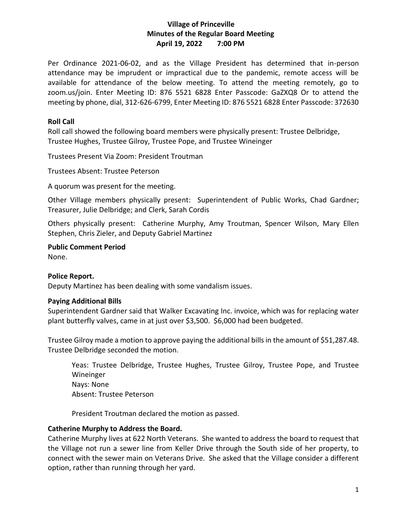# **Village of Princeville Minutes of the Regular Board Meeting April 19, 2022 7:00 PM**

Per Ordinance 2021-06-02, and as the Village President has determined that in-person attendance may be imprudent or impractical due to the pandemic, remote access will be available for attendance of the below meeting. To attend the meeting remotely, go to zoom.us/join. Enter Meeting ID: 876 5521 6828 Enter Passcode: GaZXQ8 Or to attend the meeting by phone, dial, 312-626-6799, Enter Meeting ID: 876 5521 6828 Enter Passcode: 372630

### **Roll Call**

Roll call showed the following board members were physically present: Trustee Delbridge, Trustee Hughes, Trustee Gilroy, Trustee Pope, and Trustee Wineinger

Trustees Present Via Zoom: President Troutman

Trustees Absent: Trustee Peterson

A quorum was present for the meeting.

Other Village members physically present: Superintendent of Public Works, Chad Gardner; Treasurer, Julie Delbridge; and Clerk, Sarah Cordis

Others physically present: Catherine Murphy, Amy Troutman, Spencer Wilson, Mary Ellen Stephen, Chris Zieler, and Deputy Gabriel Martinez

**Public Comment Period**

None.

### **Police Report.**

Deputy Martinez has been dealing with some vandalism issues.

### **Paying Additional Bills**

Superintendent Gardner said that Walker Excavating Inc. invoice, which was for replacing water plant butterfly valves, came in at just over \$3,500. \$6,000 had been budgeted.

Trustee Gilroy made a motion to approve paying the additional bills in the amount of \$51,287.48. Trustee Delbridge seconded the motion.

Yeas: Trustee Delbridge, Trustee Hughes, Trustee Gilroy, Trustee Pope, and Trustee Wineinger Nays: None Absent: Trustee Peterson

President Troutman declared the motion as passed.

### **Catherine Murphy to Address the Board.**

Catherine Murphy lives at 622 North Veterans. She wanted to address the board to request that the Village not run a sewer line from Keller Drive through the South side of her property, to connect with the sewer main on Veterans Drive. She asked that the Village consider a different option, rather than running through her yard.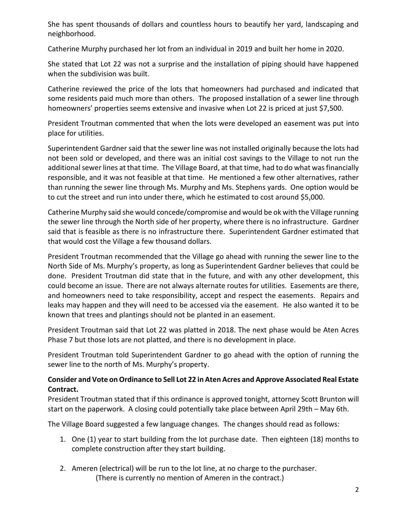She has spent thousands of dollars and countless hours to beautify her yard, landscaping and neighborhood.

Catherine Murphy purchased her lot from an individual in 2019 and built her home in 2020.

She stated that Lot 22 was not a surprise and the installation of piping should have happened when the subdivision was built.

Catherine reviewed the price of the lots that homeowners had purchased and indicated that some residents paid much more than others. The proposed installation of a sewer line through homeowners' properties seems extensive and invasive when Lot 22 is priced at just \$7,500.

President Troutman commented that when the lots were developed an easement was put into place for utilities.

Superintendent Gardner said that the sewer line was not installed originally because the lots had not been sold or developed, and there was an initial cost savings to the Village to not run the additional sewer lines at that time. The Village Board, at that time, had to do what was financially responsible, and it was not feasible at that time. He mentioned a few other alternatives, rather than running the sewer line through Ms. Murphy and Ms. Stephens yards. One option would be to cut the street and run into under there, which he estimated to cost around \$5,000.

Catherine Murphy said she would concede/compromise and would be ok with the Village running the sewer line through the North side of her property, where there is no infrastructure. Gardner said that is feasible as there is no infrastructure there. Superintendent Gardner estimated that that would cost the Village a few thousand dollars.

President Troutman recommended that the Village go ahead with running the sewer line to the North Side of Ms. Murphy's property, as long as Superintendent Gardner believes that could be done. President Troutman did state that in the future, and with any other development, this could become an issue. There are not always alternate routes for utilities. Easements are there, and homeowners need to take responsibility, accept and respect the easements. Repairs and leaks may happen and they will need to be accessed via the easement. He also wanted it to be known that trees and plantings should not be planted in an easement.

President Troutman said that Lot 22 was platted in 2018. The next phase would be Aten Acres Phase 7 but those lots are not platted, and there is no development in place.

President Troutman told Superintendent Gardner to go ahead with the option of running the sewer line to the north of Ms. Murphy's property.

# **Consider and Vote on Ordinance to Sell Lot 22 in Aten Acres and Approve Associated Real Estate Contract.**

President Troutman stated that if this ordinance is approved tonight, attorney Scott Brunton will start on the paperwork. A closing could potentially take place between April 29th – May 6th.

The Village Board suggested a few language changes. The changes should read as follows:

- 1. One (1) year to start building from the lot purchase date. Then eighteen (18) months to complete construction after they start building.
- 2. Ameren (electrical) will be run to the lot line, at no charge to the purchaser. (There is currently no mention of Ameren in the contract.)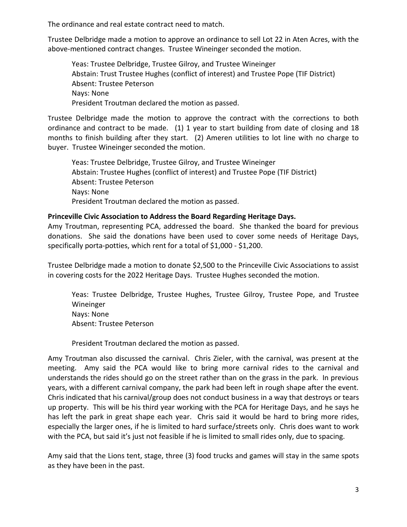The ordinance and real estate contract need to match.

Trustee Delbridge made a motion to approve an ordinance to sell Lot 22 in Aten Acres, with the above-mentioned contract changes. Trustee Wineinger seconded the motion.

Yeas: Trustee Delbridge, Trustee Gilroy, and Trustee Wineinger Abstain: Trust Trustee Hughes (conflict of interest) and Trustee Pope (TIF District) Absent: Trustee Peterson Nays: None President Troutman declared the motion as passed.

Trustee Delbridge made the motion to approve the contract with the corrections to both ordinance and contract to be made. (1) 1 year to start building from date of closing and 18 months to finish building after they start. (2) Ameren utilities to lot line with no charge to buyer. Trustee Wineinger seconded the motion.

Yeas: Trustee Delbridge, Trustee Gilroy, and Trustee Wineinger Abstain: Trustee Hughes (conflict of interest) and Trustee Pope (TIF District) Absent: Trustee Peterson Nays: None President Troutman declared the motion as passed.

# **Princeville Civic Association to Address the Board Regarding Heritage Days.**

Amy Troutman, representing PCA, addressed the board. She thanked the board for previous donations. She said the donations have been used to cover some needs of Heritage Days, specifically porta-potties, which rent for a total of \$1,000 - \$1,200.

Trustee Delbridge made a motion to donate \$2,500 to the Princeville Civic Associations to assist in covering costs for the 2022 Heritage Days. Trustee Hughes seconded the motion.

Yeas: Trustee Delbridge, Trustee Hughes, Trustee Gilroy, Trustee Pope, and Trustee Wineinger Nays: None Absent: Trustee Peterson

President Troutman declared the motion as passed.

Amy Troutman also discussed the carnival. Chris Zieler, with the carnival, was present at the meeting. Amy said the PCA would like to bring more carnival rides to the carnival and understands the rides should go on the street rather than on the grass in the park. In previous years, with a different carnival company, the park had been left in rough shape after the event. Chris indicated that his carnival/group does not conduct business in a way that destroys or tears up property. This will be his third year working with the PCA for Heritage Days, and he says he has left the park in great shape each year. Chris said it would be hard to bring more rides, especially the larger ones, if he is limited to hard surface/streets only. Chris does want to work with the PCA, but said it's just not feasible if he is limited to small rides only, due to spacing.

Amy said that the Lions tent, stage, three (3) food trucks and games will stay in the same spots as they have been in the past.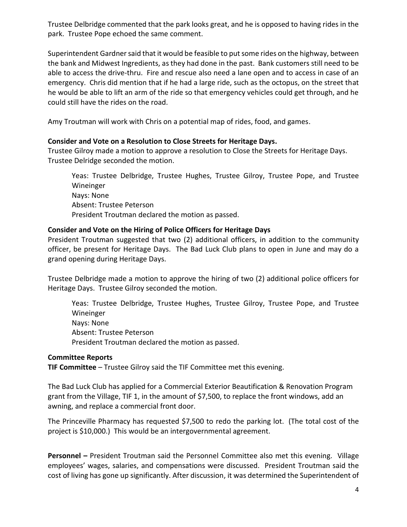Trustee Delbridge commented that the park looks great, and he is opposed to having rides in the park. Trustee Pope echoed the same comment.

Superintendent Gardner said that it would be feasible to put some rides on the highway, between the bank and Midwest Ingredients, as they had done in the past. Bank customers still need to be able to access the drive-thru. Fire and rescue also need a lane open and to access in case of an emergency. Chris did mention that if he had a large ride, such as the octopus, on the street that he would be able to lift an arm of the ride so that emergency vehicles could get through, and he could still have the rides on the road.

Amy Troutman will work with Chris on a potential map of rides, food, and games.

### **Consider and Vote on a Resolution to Close Streets for Heritage Days.**

Trustee Gilroy made a motion to approve a resolution to Close the Streets for Heritage Days. Trustee Delridge seconded the motion.

Yeas: Trustee Delbridge, Trustee Hughes, Trustee Gilroy, Trustee Pope, and Trustee Wineinger Nays: None Absent: Trustee Peterson President Troutman declared the motion as passed.

### **Consider and Vote on the Hiring of Police Officers for Heritage Days**

President Troutman suggested that two (2) additional officers, in addition to the community officer, be present for Heritage Days. The Bad Luck Club plans to open in June and may do a grand opening during Heritage Days.

Trustee Delbridge made a motion to approve the hiring of two (2) additional police officers for Heritage Days. Trustee Gilroy seconded the motion.

Yeas: Trustee Delbridge, Trustee Hughes, Trustee Gilroy, Trustee Pope, and Trustee Wineinger Nays: None Absent: Trustee Peterson President Troutman declared the motion as passed.

### **Committee Reports**

**TIF Committee** – Trustee Gilroy said the TIF Committee met this evening.

The Bad Luck Club has applied for a Commercial Exterior Beautification & Renovation Program grant from the Village, TIF 1, in the amount of \$7,500, to replace the front windows, add an awning, and replace a commercial front door.

The Princeville Pharmacy has requested \$7,500 to redo the parking lot. (The total cost of the project is \$10,000.) This would be an intergovernmental agreement.

**Personnel –** President Troutman said the Personnel Committee also met this evening. Village employees' wages, salaries, and compensations were discussed. President Troutman said the cost of living has gone up significantly. After discussion, it was determined the Superintendent of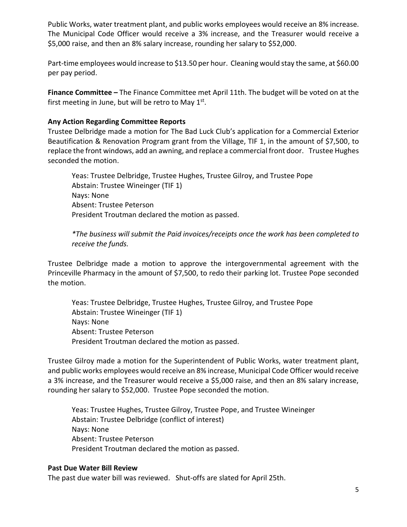Public Works, water treatment plant, and public works employees would receive an 8% increase. The Municipal Code Officer would receive a 3% increase, and the Treasurer would receive a \$5,000 raise, and then an 8% salary increase, rounding her salary to \$52,000.

Part-time employees would increase to \$13.50 per hour. Cleaning would stay the same, at \$60.00 per pay period.

**Finance Committee –** The Finance Committee met April 11th. The budget will be voted on at the first meeting in June, but will be retro to May  $1<sup>st</sup>$ .

### **Any Action Regarding Committee Reports**

Trustee Delbridge made a motion for The Bad Luck Club's application for a Commercial Exterior Beautification & Renovation Program grant from the Village, TIF 1, in the amount of \$7,500, to replace the front windows, add an awning, and replace a commercial front door. Trustee Hughes seconded the motion.

Yeas: Trustee Delbridge, Trustee Hughes, Trustee Gilroy, and Trustee Pope Abstain: Trustee Wineinger (TIF 1) Nays: None Absent: Trustee Peterson President Troutman declared the motion as passed.

*\*The business will submit the Paid invoices/receipts once the work has been completed to receive the funds.*

Trustee Delbridge made a motion to approve the intergovernmental agreement with the Princeville Pharmacy in the amount of \$7,500, to redo their parking lot. Trustee Pope seconded the motion.

Yeas: Trustee Delbridge, Trustee Hughes, Trustee Gilroy, and Trustee Pope Abstain: Trustee Wineinger (TIF 1) Nays: None Absent: Trustee Peterson President Troutman declared the motion as passed.

Trustee Gilroy made a motion for the Superintendent of Public Works, water treatment plant, and public works employees would receive an 8% increase, Municipal Code Officer would receive a 3% increase, and the Treasurer would receive a \$5,000 raise, and then an 8% salary increase, rounding her salary to \$52,000. Trustee Pope seconded the motion.

Yeas: Trustee Hughes, Trustee Gilroy, Trustee Pope, and Trustee Wineinger Abstain: Trustee Delbridge (conflict of interest) Nays: None Absent: Trustee Peterson President Troutman declared the motion as passed.

### **Past Due Water Bill Review**

The past due water bill was reviewed. Shut-offs are slated for April 25th.